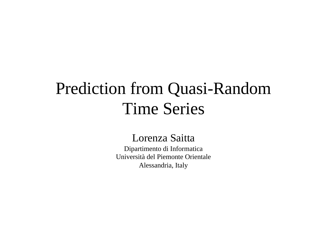## Prediction from Quasi-Random Time Series

#### Lorenza Saitta

Dipartimento di Informatica Università del Piemonte Orientale Alessandria, Italy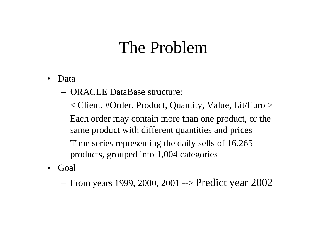## The Problem

- Data
	- ORACLE DataBase structure:

< Client, #Order, Product, Quantity, Value, Lit/Euro >

Each order may contain more than one product, or the same product with different quantities and prices

- Time series representing the daily sells of 16,265 products, grouped into 1,004 categories
- Goal

– From years 1999, 2000, 2001 --> Predict year 2002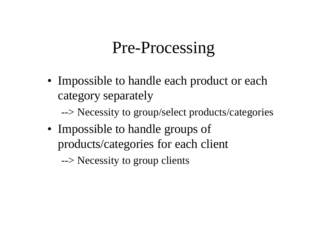## Pre-Processing

• Impossible to handle each product or each category separately

--> Necessity to group/select products/categories

• Impossible to handle groups of products/categories for each client

--> Necessity to group clients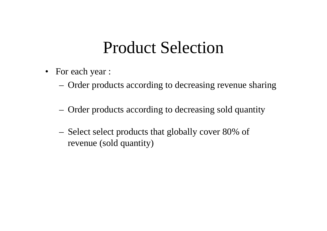## Product Selection

- For each year :
	- Order products according to decreasing revenue sharing
	- Order products according to decreasing sold quantity
	- Select select products that globally cover 80% of revenue (sold quantity)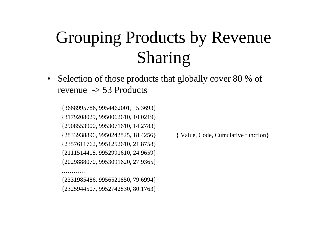## Grouping Products by Revenue Sharing

• Selection of those products that globally cover 80 % of revenue -> 53 Products

{3668995786, 9954462001, 5.3693} {3179208029, 9950062610, 10.0219} {2908553900, 9953071610, 14.2783} {2833938896, 9950242825, 18.4256} { Value, Code, Cumulative function} {2357611762, 9951252610, 21.8758} {2111514418, 9952991610, 24.9659} {2029888070, 9953091620, 27.9365}

{2331985486, 9956521850, 79.6994} {2325944507, 9952742830, 80.1763}

. . . . . . . . . . .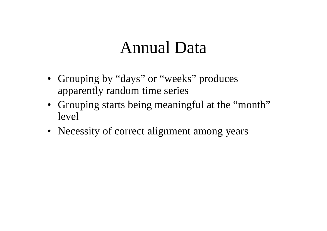### Annual Data

- Grouping by "days" or "weeks" produces apparently random time series
- Grouping starts being meaningful at the "month" level
- Necessity of correct alignment among years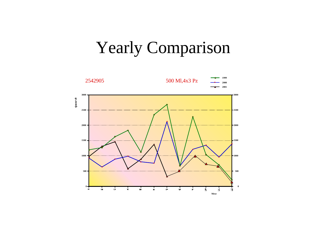## Yearly Comparison

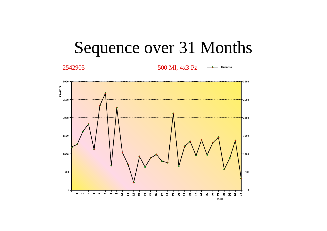

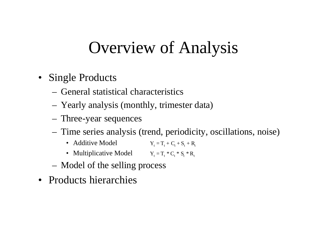## Overview of Analysis

- Single Products
	- General statistical characteristics
	- Yearly analysis (monthly, trimester data)
	- Three-year sequences
	- Time series analysis (trend, periodicity, oscillations, noise)
		- Additive Model  $Y_t = T_t + C_t + S_t + R_t$
		- Multiplicative Model  $Y_t = T_t * C_t * S_t * R_t$
	- Model of the selling process
- Products hierarchies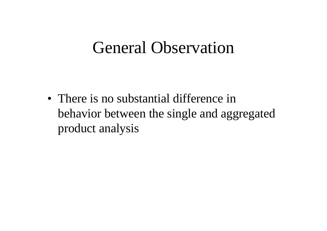### General Observation

• There is no substantial difference in behavior between the single and aggregated product analysis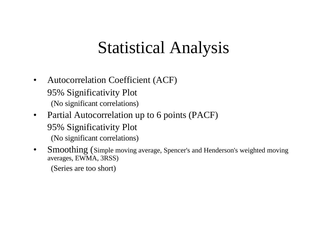## Statistical Analysis

- Autocorrelation Coefficient (ACF) 95% Significativity Plot (No significant correlations)
- Partial Autocorrelation up to 6 points (PACF) 95% Significativity Plot (No significant correlations)
- Smoothing (Simple moving average, Spencer's and Henderson's weighted moving averages, EWMA, 3RSS)

(Series are too short)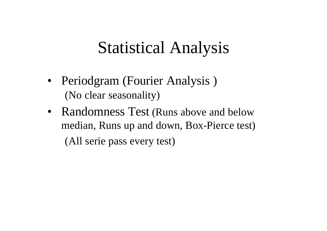## Statistical Analysis

- Periodgram (Fourier Analysis) (No clear seasonality)
- Randomness Test (Runs above and below median, Runs up and down, Box-Pierce test) (All serie pass every test)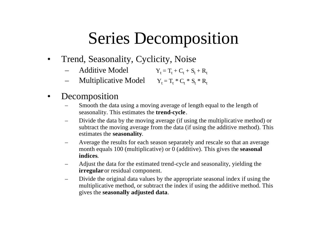## Series Decomposition

- Trend, Seasonality, Cyclicity, Noise
	- Additive Model  $Y_t = T_t + C_t + S_t + R_t$
	- Multiplicative Model  $Y_t = T_t * C_t * S_t * R_t$
- **Decomposition** 
	- Smooth the data using a moving average of length equal to the length of seasonality. This estimates the **trend-cycle**.
	- Divide the data by the moving average (if using the multiplicative method) or subtract the moving average from the data (if using the additive method). This estimates the **seasonality**.
	- Average the results for each season separately and rescale so that an average month equals 100 (multiplicative) or 0 (additive). This gives the **seasonal indices**.
	- Adjust the data for the estimated trend-cycle and seasonality, yielding the **irregular**or residual component.
	- Divide the original data values by the appropriate seasonal index if using the multiplicative method, or subtract the index if using the additive method. This gives the **seasonally adjusted data**.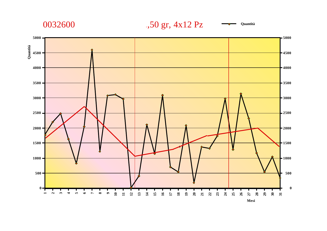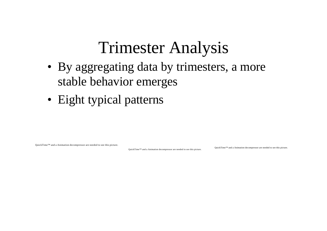## Trimester Analysis

- By aggregating data by trimesters, a more stable behavior emerges
- Eight typical patterns

QuickTime™ and a Animation decompressor are needed to see this picture.

QuickTime™ and a Animation decompressor are needed to see this picture.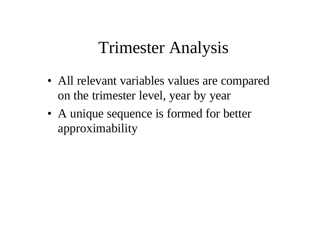## Trimester Analysis

- All relevant variables values are compared on the trimester level, year by year
- A unique sequence is formed for better approximability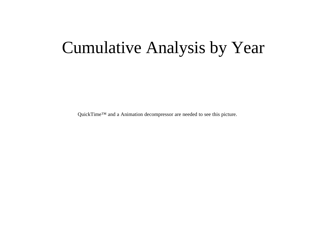## Cumulative Analysis by Year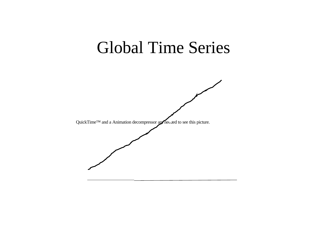### Global Time Series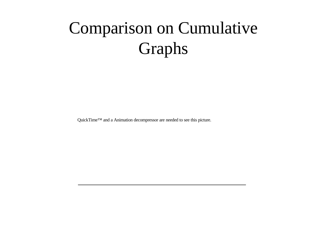# Comparison on Cumulative Graphs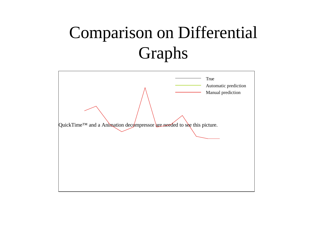# Comparison on Differential Graphs

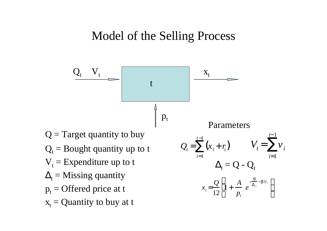#### Model of the Selling Process

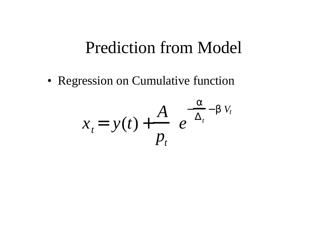### Prediction from Model

• Regression on Cumulative function

$$
x_{t} = y(t) + \frac{A}{p_{t}} e^{-\frac{a}{\Delta_{t}} - b V_{t}}
$$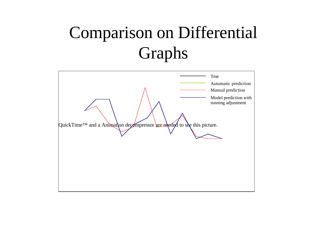# Comparison on Differential Graphs